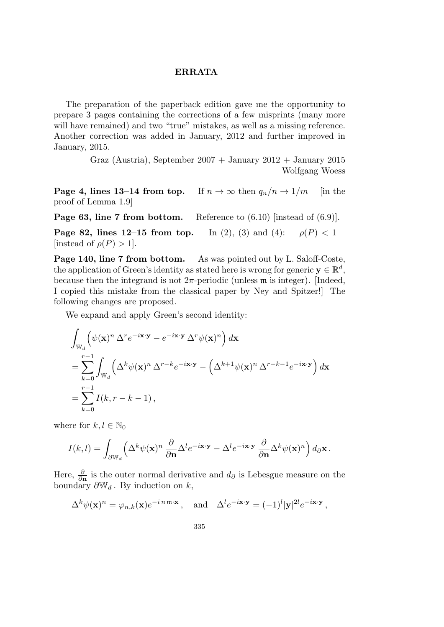## **ERRATA**

The preparation of the paperback edition gave me the opportunity to prepare 3 pages containing the corrections of a few misprints (many more will have remained) and two "true" mistakes, as well as a missing reference. Another correction was added in January, 2012 and further improved in January, 2015.

> Graz (Austria), September  $2007 +$  January  $2012 +$  January  $2015$ Wolfgang Woess

**Page 4, lines 13–14 from top.** If  $n \to \infty$  then  $q_n/n \to 1/m$  [in the proof of Lemma 1.9]

**Page 63, line 7 from bottom.** Reference to  $(6.10)$  [instead of  $(6.9)$ ].

**Page 82, lines 12–15 from top.** In (2), (3) and (4):  $\rho(P) < 1$ [instead of  $\rho(P) > 1$ ].

**Page 140, line 7 from bottom.** As was pointed out by L. Saloff-Coste, the application of Green's identity as stated here is wrong for generic  $y \in \mathbb{R}^d$ , because then the integrand is not  $2\pi$ -periodic (unless  $\mathfrak m$  is integer). [Indeed, I copied this mistake from the classical paper by Ney and Spitzer!] The following changes are proposed.

We expand and apply Green's second identity:

$$
\int_{\mathbb{W}_d} \left( \psi(\mathbf{x})^n \Delta^r e^{-i\mathbf{x} \cdot \mathbf{y}} - e^{-i\mathbf{x} \cdot \mathbf{y}} \Delta^r \psi(\mathbf{x})^n \right) d\mathbf{x}
$$
\n
$$
= \sum_{k=0}^{r-1} \int_{\mathbb{W}_d} \left( \Delta^k \psi(\mathbf{x})^n \Delta^{r-k} e^{-i\mathbf{x} \cdot \mathbf{y}} - \left( \Delta^{k+1} \psi(\mathbf{x})^n \Delta^{r-k-1} e^{-i\mathbf{x} \cdot \mathbf{y}} \right) d\mathbf{x}
$$
\n
$$
= \sum_{k=0}^{r-1} I(k, r-k-1),
$$

where for  $k, l \in \mathbb{N}_0$ 

$$
I(k,l) = \int_{\partial \mathbb{W}_d} \left( \Delta^k \psi(\mathbf{x})^n \frac{\partial}{\partial \mathbf{n}} \Delta^l e^{-i\mathbf{x} \cdot \mathbf{y}} - \Delta^l e^{-i\mathbf{x} \cdot \mathbf{y}} \frac{\partial}{\partial \mathbf{n}} \Delta^k \psi(\mathbf{x})^n \right) d_{\partial} \mathbf{x}.
$$

Here,  $\frac{\partial}{\partial n}$  is the outer normal derivative and  $d_{\partial}$  is Lebesgue measure on the boundary  $\partial \mathbb{W}_d$ . By induction on *k*,

$$
\Delta^k \psi(\mathbf{x})^n = \varphi_{n,k}(\mathbf{x}) e^{-i n \mathfrak{m} \cdot \mathbf{x}}, \text{ and } \Delta^l e^{-i \mathbf{x} \cdot \mathbf{y}} = (-1)^l |\mathbf{y}|^{2l} e^{-i \mathbf{x} \cdot \mathbf{y}},
$$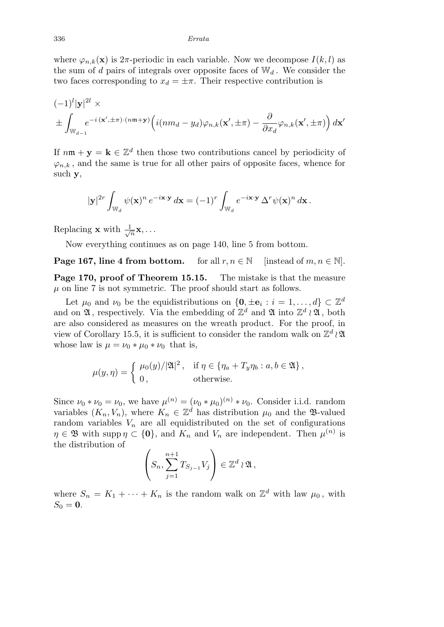where  $\varphi_{n,k}(\mathbf{x})$  is 2 $\pi$ -periodic in each variable. Now we decompose  $I(k, l)$  as the sum of *d* pairs of integrals over opposite faces of  $\mathbb{W}_d$ . We consider the two faces corresponding to  $x_d = \pm \pi$ . Their respective contribution is

$$
(-1)^{l}|\mathbf{y}|^{2l} \times
$$
  

$$
\pm \int_{\mathbb{W}_{d-1}} e^{-i(\mathbf{x}', \pm \pi) \cdot (n\mathfrak{m} + \mathbf{y})} \left( i(nm_d - y_d) \varphi_{n,k}(\mathbf{x}', \pm \pi) - \frac{\partial}{\partial x_d} \varphi_{n,k}(\mathbf{x}', \pm \pi) \right) d\mathbf{x}'
$$

If  $n\mathfrak{m} + \mathbf{y} = \mathbf{k} \in \mathbb{Z}^d$  then those two contributions cancel by periodicity of  $\varphi_{n,k}$ , and the same is true for all other pairs of opposite faces, whence for such **y**,

$$
|\mathbf{y}|^{2r} \int_{\mathbb{W}_d} \psi(\mathbf{x})^n e^{-i\mathbf{x} \cdot \mathbf{y}} d\mathbf{x} = (-1)^r \int_{\mathbb{W}_d} e^{-i\mathbf{x} \cdot \mathbf{y}} \Delta^r \psi(\mathbf{x})^n d\mathbf{x}.
$$

Replacing **x** with  $\frac{1}{\sqrt{2}}$  $\frac{1}{n}$ **x**,  $\ldots$ 

Now everything continues as on page 140, line 5 from bottom.

**Page 167, line 4 from bottom.** for all  $r, n \in \mathbb{N}$  [instead of  $m, n \in \mathbb{N}$ ]. **Page 170, proof of Theorem 15.15.** The mistake is that the measure  $\mu$  on line 7 is not symmetric. The proof should start as follows.

Let  $\mu_0$  and  $\nu_0$  be the equidistributions on  $\{\mathbf{0}, \pm \mathbf{e}_i : i = 1, \dots, d\} \subset \mathbb{Z}^d$ and on  $\mathfrak{A}$ , respectively. Via the embedding of  $\mathbb{Z}^d$  and  $\mathfrak{A}$  into  $\mathbb{Z}^d \wr \mathfrak{A}$ , both are also considered as measures on the wreath product. For the proof, in view of Corollary 15.5, it is sufficient to consider the random walk on Z *d ≀* A whose law is  $\mu = \nu_0 * \mu_0 * \nu_0$  that is,

$$
\mu(y,\eta) = \begin{cases} \mu_0(y)/|\mathfrak{A}|^2, & \text{if } \eta \in \{\eta_a + T_y \eta_b : a, b \in \mathfrak{A}\}, \\ 0, & \text{otherwise.} \end{cases}
$$

Since  $\nu_0 * \nu_0 = \nu_0$ , we have  $\mu^{(n)} = (\nu_0 * \mu_0)^{(n)} * \nu_0$ . Consider i.i.d. random variables  $(K_n, V_n)$ , where  $K_n \in \mathbb{Z}^d$  has distribution  $\mu_0$  and the B-valued random variables  $V_n$  are all equidistributed on the set of configurations  $\eta \in \mathfrak{B}$  with supp  $\eta \subset \{0\}$ , and  $K_n$  and  $V_n$  are independent. Then  $\mu^{(n)}$  is the distribution of

$$
\left(S_n, \sum_{j=1}^{n+1} T_{S_{j-1}} V_j\right) \in \mathbb{Z}^d \wr \mathfrak{A},
$$

where  $S_n = K_1 + \cdots + K_n$  is the random walk on  $\mathbb{Z}^d$  with law  $\mu_0$ , with  $S_0 = 0$ .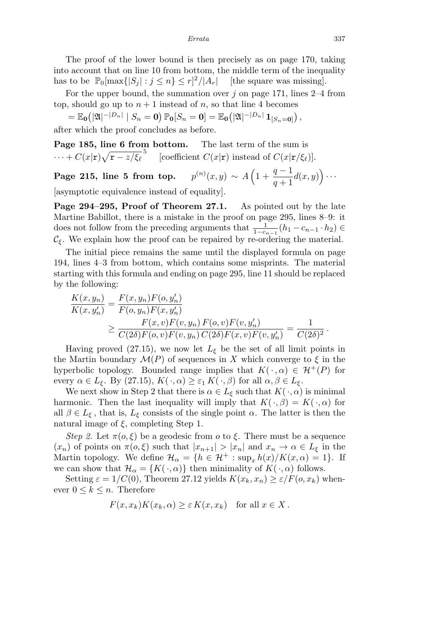The proof of the lower bound is then precisely as on page 170, taking into account that on line 10 from bottom, the middle term of the inequality has to be  $\mathbb{P}_0[\max\{|S_j| : j \leq n\} \leq r]^2$ */|Ar|* [the square was missing].

For the upper bound, the summation over  $j$  on page 171, lines 2–4 from top, should go up to  $n + 1$  instead of *n*, so that line 4 becomes

 $=\mathbb{E}_{\mathbf{0}}\big(|\mathfrak{A}|^{-|D_n|}\mid S_n=\mathbf{0}\big)\,\mathbb{P}_{\mathbf{0}}[S_n=\mathbf{0}]=\mathbb{E}_{\mathbf{0}}\big(|\mathfrak{A}|^{-|D_n|}\,\mathbf{1}_{[S_n=\mathbf{0}]}\big)\,,$ 

after which the proof concludes as before.

**Page 185, line 6 from bottom.** The last term of the sum is  $\cdots$  +  $C(x|\mathbf{r})\sqrt{\mathbf{r} - z/\xi_{\ell}}^5$  [coefficient  $C(x|\mathbf{r})$  instead of  $C(x|\mathbf{r}/\xi_{\ell})$ ].

**Page 215, line 5 from top.** *p*  $f^{(n)}(x, y) \sim A\left(1 + \frac{q-1}{q-1}\right)$ *q* + 1  $d(x,y)$   $\Big)$   $\cdots$ 

[asymptotic equivalence instead of equality].

**Page 294–295, Proof of Theorem 27.1.** As pointed out by the late Martine Babillot, there is a mistake in the proof on page 295, lines 8–9: it does not follow from the preceding arguments that  $\frac{1}{1-c_{n-1}}(h_1 - c_{n-1} \cdot h_2) \in$  $\mathcal{C}_{\xi}$ . We explain how the proof can be repaired by re-ordering the material.

The initial piece remains the same until the displayed formula on page 194, lines 4–3 from bottom, which contains some misprints. The material starting with this formula and ending on page 295, line 11 should be replaced by the following:

$$
\frac{K(x, y_n)}{K(x, y'_n)} = \frac{F(x, y_n) F(o, y'_n)}{F(o, y_n) F(x, y'_n)}\n\n\geq \frac{F(x, v) F(v, y_n) F(o, v) F(v, y'_n)}{C(2\delta) F(o, v) F(v, y_n) C(2\delta) F(x, v) F(v, y'_n)} = \frac{1}{C(2\delta)^2}.
$$

Having proved (27.15), we now let  $L_{\xi}$  be the set of all limit points in the Martin boundary  $\mathcal{M}(P)$  of sequences in *X* which converge to  $\xi$  in the hyperbolic topology. Bounded range implies that  $K(\cdot, \alpha) \in \mathcal{H}^+(P)$  for every  $\alpha \in L_{\xi}$ . By (27.15),  $K(\cdot, \alpha) \geq \varepsilon_1 K(\cdot, \beta)$  for all  $\alpha, \beta \in L_{\xi}$ .

We next show in Step 2 that there is  $\alpha \in L_{\xi}$  such that  $K(\cdot, \alpha)$  is minimal harmonic. Then the last inequality will imply that  $K(\cdot, \beta) = K(\cdot, \alpha)$  for all  $\beta \in L_{\xi}$ , that is,  $L_{\xi}$  consists of the single point  $\alpha$ . The latter is then the natural image of *ξ*, completing Step 1.

*Step 2.* Let  $\pi(o,\xi)$  be a geodesic from *o* to  $\xi$ . There must be a sequence  $(x_n)$  of points on  $\pi(o,\xi)$  such that  $|x_{n+1}| > |x_n|$  and  $x_n \to \alpha \in L_{\xi}$  in the Martin topology. We define  $\mathcal{H}_{\alpha} = \{h \in \mathcal{H}^+ : \sup_x h(x)/K(x, \alpha) = 1\}$ . If we can show that  $\mathcal{H}_{\alpha} = \{K(\cdot, \alpha)\}\$  then minimality of  $K(\cdot, \alpha)$  follows.

Setting  $\varepsilon = 1/C(0)$ , Theorem 27.12 yields  $K(x_k, x_n) \geq \varepsilon/F(o, x_k)$  whenever  $0 \leq k \leq n$ . Therefore

$$
F(x, x_k)K(x_k, \alpha) \ge \varepsilon K(x, x_k) \text{ for all } x \in X.
$$